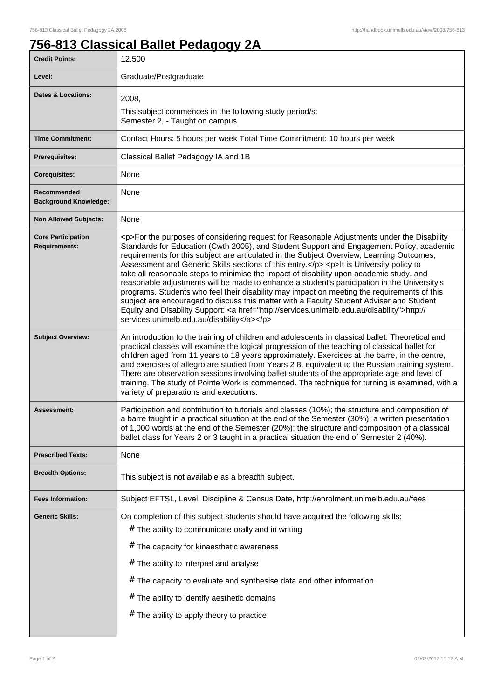## **756-813 Classical Ballet Pedagogy 2A**

| 12.500                                                                                                                                                                                                                                                                                                                                                                                                                                                                                                                                                                                                                                                                                                                                                                                                                                                                                                                       |
|------------------------------------------------------------------------------------------------------------------------------------------------------------------------------------------------------------------------------------------------------------------------------------------------------------------------------------------------------------------------------------------------------------------------------------------------------------------------------------------------------------------------------------------------------------------------------------------------------------------------------------------------------------------------------------------------------------------------------------------------------------------------------------------------------------------------------------------------------------------------------------------------------------------------------|
| Graduate/Postgraduate                                                                                                                                                                                                                                                                                                                                                                                                                                                                                                                                                                                                                                                                                                                                                                                                                                                                                                        |
| 2008,<br>This subject commences in the following study period/s:<br>Semester 2, - Taught on campus.                                                                                                                                                                                                                                                                                                                                                                                                                                                                                                                                                                                                                                                                                                                                                                                                                          |
| Contact Hours: 5 hours per week Total Time Commitment: 10 hours per week                                                                                                                                                                                                                                                                                                                                                                                                                                                                                                                                                                                                                                                                                                                                                                                                                                                     |
| Classical Ballet Pedagogy IA and 1B                                                                                                                                                                                                                                                                                                                                                                                                                                                                                                                                                                                                                                                                                                                                                                                                                                                                                          |
| <b>None</b>                                                                                                                                                                                                                                                                                                                                                                                                                                                                                                                                                                                                                                                                                                                                                                                                                                                                                                                  |
| None                                                                                                                                                                                                                                                                                                                                                                                                                                                                                                                                                                                                                                                                                                                                                                                                                                                                                                                         |
| None                                                                                                                                                                                                                                                                                                                                                                                                                                                                                                                                                                                                                                                                                                                                                                                                                                                                                                                         |
| <p>For the purposes of considering request for Reasonable Adjustments under the Disability<br/>Standards for Education (Cwth 2005), and Student Support and Engagement Policy, academic<br/>requirements for this subject are articulated in the Subject Overview, Learning Outcomes,<br/>Assessment and Generic Skills sections of this entry.</p> <p>lt is University policy to<br/>take all reasonable steps to minimise the impact of disability upon academic study, and<br/>reasonable adjustments will be made to enhance a student's participation in the University's<br/>programs. Students who feel their disability may impact on meeting the requirements of this<br/>subject are encouraged to discuss this matter with a Faculty Student Adviser and Student<br/>Equity and Disability Support: &lt; a href="http://services.unimelb.edu.au/disability"&gt;http://<br/>services.unimelb.edu.au/disability</p> |
| An introduction to the training of children and adolescents in classical ballet. Theoretical and<br>practical classes will examine the logical progression of the teaching of classical ballet for<br>children aged from 11 years to 18 years approximately. Exercises at the barre, in the centre,<br>and exercises of allegro are studied from Years 2 8, equivalent to the Russian training system.<br>There are observation sessions involving ballet students of the appropriate age and level of<br>training. The study of Pointe Work is commenced. The technique for turning is examined, with a<br>variety of preparations and executions.                                                                                                                                                                                                                                                                          |
| Participation and contribution to tutorials and classes (10%); the structure and composition of<br>a barre taught in a practical situation at the end of the Semester (30%); a written presentation<br>of 1,000 words at the end of the Semester (20%); the structure and composition of a classical<br>ballet class for Years 2 or 3 taught in a practical situation the end of Semester 2 (40%).                                                                                                                                                                                                                                                                                                                                                                                                                                                                                                                           |
| None                                                                                                                                                                                                                                                                                                                                                                                                                                                                                                                                                                                                                                                                                                                                                                                                                                                                                                                         |
| This subject is not available as a breadth subject.                                                                                                                                                                                                                                                                                                                                                                                                                                                                                                                                                                                                                                                                                                                                                                                                                                                                          |
| Subject EFTSL, Level, Discipline & Census Date, http://enrolment.unimelb.edu.au/fees                                                                                                                                                                                                                                                                                                                                                                                                                                                                                                                                                                                                                                                                                                                                                                                                                                         |
| On completion of this subject students should have acquired the following skills:<br># The ability to communicate orally and in writing<br># The capacity for kinaesthetic awareness<br># The ability to interpret and analyse<br>$#$ The capacity to evaluate and synthesise data and other information<br>The ability to identify aesthetic domains<br>#<br>The ability to apply theory to practice<br>#                                                                                                                                                                                                                                                                                                                                                                                                                                                                                                                   |
|                                                                                                                                                                                                                                                                                                                                                                                                                                                                                                                                                                                                                                                                                                                                                                                                                                                                                                                              |